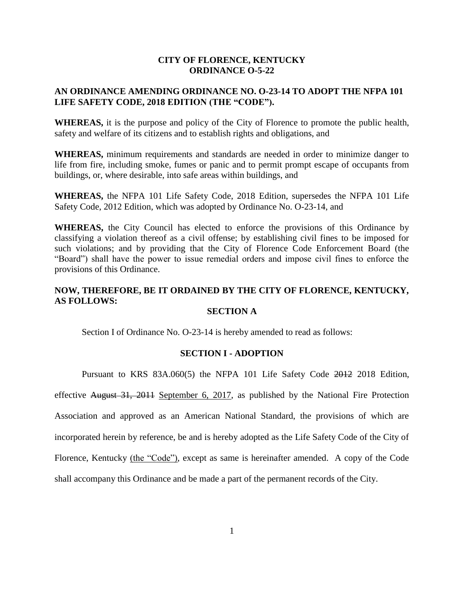# **CITY OF FLORENCE, KENTUCKY ORDINANCE O-5-22**

# **AN ORDINANCE AMENDING ORDINANCE NO. O-23-14 TO ADOPT THE NFPA 101 LIFE SAFETY CODE, 2018 EDITION (THE "CODE").**

**WHEREAS,** it is the purpose and policy of the City of Florence to promote the public health, safety and welfare of its citizens and to establish rights and obligations, and

**WHEREAS,** minimum requirements and standards are needed in order to minimize danger to life from fire, including smoke, fumes or panic and to permit prompt escape of occupants from buildings, or, where desirable, into safe areas within buildings, and

**WHEREAS,** the NFPA 101 Life Safety Code, 2018 Edition, supersedes the NFPA 101 Life Safety Code, 2012 Edition, which was adopted by Ordinance No. O-23-14, and

**WHEREAS,** the City Council has elected to enforce the provisions of this Ordinance by classifying a violation thereof as a civil offense; by establishing civil fines to be imposed for such violations; and by providing that the City of Florence Code Enforcement Board (the "Board") shall have the power to issue remedial orders and impose civil fines to enforce the provisions of this Ordinance.

# **NOW, THEREFORE, BE IT ORDAINED BY THE CITY OF FLORENCE, KENTUCKY, AS FOLLOWS:**

# **SECTION A**

Section I of Ordinance No. O-23-14 is hereby amended to read as follows:

#### **SECTION I - ADOPTION**

Pursuant to KRS 83A.060(5) the NFPA 101 Life Safety Code 2012 2018 Edition,

effective August 31, 2011 September 6, 2017, as published by the National Fire Protection Association and approved as an American National Standard, the provisions of which are incorporated herein by reference, be and is hereby adopted as the Life Safety Code of the City of Florence, Kentucky (the "Code"), except as same is hereinafter amended. A copy of the Code shall accompany this Ordinance and be made a part of the permanent records of the City.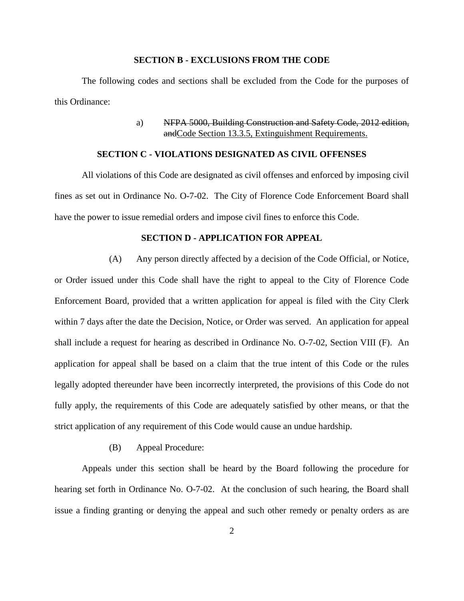#### **SECTION B - EXCLUSIONS FROM THE CODE**

The following codes and sections shall be excluded from the Code for the purposes of this Ordinance:

> a) NFPA 5000, Building Construction and Safety Code, 2012 edition, andCode Section 13.3.5, Extinguishment Requirements.

# **SECTION C - VIOLATIONS DESIGNATED AS CIVIL OFFENSES**

All violations of this Code are designated as civil offenses and enforced by imposing civil fines as set out in Ordinance No. O-7-02. The City of Florence Code Enforcement Board shall have the power to issue remedial orders and impose civil fines to enforce this Code.

# **SECTION D - APPLICATION FOR APPEAL**

(A) Any person directly affected by a decision of the Code Official, or Notice, or Order issued under this Code shall have the right to appeal to the City of Florence Code Enforcement Board, provided that a written application for appeal is filed with the City Clerk within 7 days after the date the Decision, Notice, or Order was served. An application for appeal shall include a request for hearing as described in Ordinance No. O-7-02, Section VIII (F). An application for appeal shall be based on a claim that the true intent of this Code or the rules legally adopted thereunder have been incorrectly interpreted, the provisions of this Code do not fully apply, the requirements of this Code are adequately satisfied by other means, or that the strict application of any requirement of this Code would cause an undue hardship.

(B) Appeal Procedure:

Appeals under this section shall be heard by the Board following the procedure for hearing set forth in Ordinance No. O-7-02. At the conclusion of such hearing, the Board shall issue a finding granting or denying the appeal and such other remedy or penalty orders as are